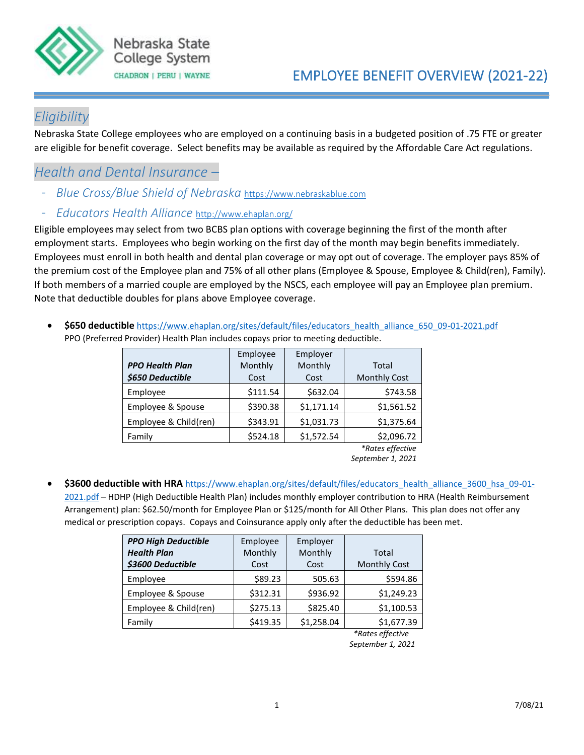

### *Eligibility*

Nebraska State College employees who are employed on a continuing basis in a budgeted position of .75 FTE or greater are eligible for benefit coverage. Select benefits may be available as required by the Affordable Care Act regulations.

### *Health and Dental Insurance –*

- *Blue Cross/Blue Shield of Nebraska* [https://www.nebraskablue.com](https://www.nebraskablue.com/)
- *Educators Health Alliance* <http://www.ehaplan.org/>

Eligible employees may select from two BCBS plan options with coverage beginning the first of the month after employment starts. Employees who begin working on the first day of the month may begin benefits immediately. Employees must enroll in both health and dental plan coverage or may opt out of coverage. The employer pays 85% of the premium cost of the Employee plan and 75% of all other plans (Employee & Spouse, Employee & Child(ren), Family). If both members of a married couple are employed by the NSCS, each employee will pay an Employee plan premium. Note that deductible doubles for plans above Employee coverage.

• **\$650 deductible** [https://www.ehaplan.org/sites/default/files/educators\\_health\\_alliance\\_650\\_09-01-2021.pdf](https://www.ehaplan.org/sites/default/files/educators_health_alliance_650_09-01-2021.pdf) PPO (Preferred Provider) Health Plan includes copays prior to meeting deductible.

|                        | Employee | Employer   |                     |
|------------------------|----------|------------|---------------------|
| <b>PPO Health Plan</b> | Monthly  | Monthly    | Total               |
| \$650 Deductible       | Cost     | Cost       | <b>Monthly Cost</b> |
| Employee               | \$111.54 | \$632.04   | \$743.58            |
| Employee & Spouse      | \$390.38 | \$1,171.14 | \$1,561.52          |
| Employee & Child(ren)  | \$343.91 | \$1,031.73 | \$1,375.64          |
| Family                 | \$524.18 | \$1,572.54 | \$2,096.72          |
|                        |          |            | *Rates effective    |

*September 1, 2021*

\$3600 deductible with HRA [https://www.ehaplan.org/sites/default/files/educators\\_health\\_alliance\\_3600\\_hsa\\_09-01-](https://www.ehaplan.org/sites/default/files/educators_health_alliance_3600_hsa_09-01-2021.pdf) [2021.pdf](https://www.ehaplan.org/sites/default/files/educators_health_alliance_3600_hsa_09-01-2021.pdf) – HDHP (High Deductible Health Plan) includes monthly employer contribution to HRA (Health Reimbursement Arrangement) plan: \$62.50/month for Employee Plan or \$125/month for All Other Plans. This plan does not offer any medical or prescription copays. Copays and Coinsurance apply only after the deductible has been met.

| <b>PPO High Deductible</b> | Employee | Employer   |                     |
|----------------------------|----------|------------|---------------------|
| <b>Health Plan</b>         | Monthly  | Monthly    | Total               |
| \$3600 Deductible          | Cost     | Cost       | <b>Monthly Cost</b> |
| Employee                   | \$89.23  | 505.63     | \$594.86            |
| Employee & Spouse          | \$312.31 | \$936.92   | \$1,249.23          |
| Employee & Child(ren)      | \$275.13 | \$825.40   | \$1,100.53          |
| Family                     | \$419.35 | \$1,258.04 | \$1,677.39          |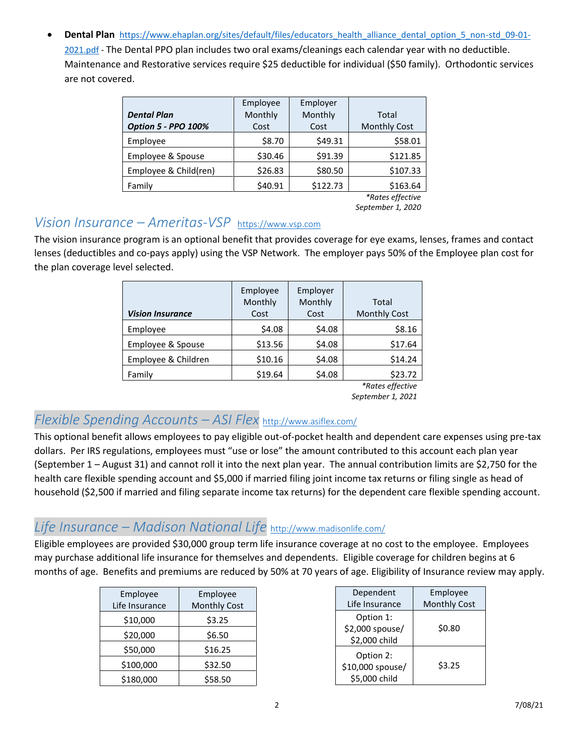• **Dental Plan** [https://www.ehaplan.org/sites/default/files/educators\\_health\\_alliance\\_dental\\_option\\_5\\_non-std\\_09-01-](https://www.ehaplan.org/sites/default/files/educators_health_alliance_dental_option_5_non-std_09-01-2021.pdf) [2021.pdf](https://www.ehaplan.org/sites/default/files/educators_health_alliance_dental_option_5_non-std_09-01-2021.pdf) - The Dental PPO plan includes two oral exams/cleanings each calendar year with no deductible. Maintenance and Restorative services require \$25 deductible for individual (\$50 family). Orthodontic services are not covered.

| <b>Dental Plan</b><br><b>Option 5 - PPO 100%</b> | Employee<br>Monthly<br>Cost | Employer<br>Monthly<br>Cost | Total<br><b>Monthly Cost</b> |
|--------------------------------------------------|-----------------------------|-----------------------------|------------------------------|
| Employee                                         | \$8.70                      | \$49.31                     | \$58.01                      |
| Employee & Spouse                                | \$30.46                     | \$91.39                     | \$121.85                     |
| Employee & Child(ren)                            | \$26.83                     | \$80.50                     | \$107.33                     |
| Family                                           | \$40.91                     | \$122.73                    | \$163.64                     |

 *\*Rates effective September 1, 2020*

#### *Vision Insurance – Ameritas-VSP* [https://www.vsp.com](https://www.vsp.com/)

The vision insurance program is an optional benefit that provides coverage for eye exams, lenses, frames and contact lenses (deductibles and co-pays apply) using the VSP Network. The employer pays 50% of the Employee plan cost for the plan coverage level selected.

| <b>Vision Insurance</b> | Employee<br>Monthly<br>Cost | Employer<br>Monthly<br>Cost | Total<br><b>Monthly Cost</b> |
|-------------------------|-----------------------------|-----------------------------|------------------------------|
| Employee                | \$4.08                      | \$4.08                      | \$8.16                       |
| Employee & Spouse       | \$13.56                     | \$4.08                      | \$17.64                      |
| Employee & Children     | \$10.16                     | \$4.08                      | \$14.24                      |
| Family                  | \$19.64                     | \$4.08                      | \$23.72                      |

*\*Rates effective* 

*September 1, 2021*

### *Flexible Spending Accounts – ASI Flex* <http://www.asiflex.com/>

This optional benefit allows employees to pay eligible out-of-pocket health and dependent care expenses using pre-tax dollars. Per IRS regulations, employees must "use or lose" the amount contributed to this account each plan year (September 1 – August 31) and cannot roll it into the next plan year. The annual contribution limits are \$2,750 for the health care flexible spending account and \$5,000 if married filing joint income tax returns or filing single as head of household (\$2,500 if married and filing separate income tax returns) for the dependent care flexible spending account.

### *Life Insurance – Madison National Life* <http://www.madisonlife.com/>

Eligible employees are provided \$30,000 group term life insurance coverage at no cost to the employee. Employees may purchase additional life insurance for themselves and dependents. Eligible coverage for children begins at 6 months of age. Benefits and premiums are reduced by 50% at 70 years of age. Eligibility of Insurance review may apply.

| Employee       | Employee            |
|----------------|---------------------|
| Life Insurance | <b>Monthly Cost</b> |
| \$10,000       | \$3.25              |
| \$20,000       | \$6.50              |
| \$50,000       | \$16.25             |
| \$100,000      | \$32.50             |
| \$180,000      | \$58.50             |

| Dependent                                      | Employee            |
|------------------------------------------------|---------------------|
| Life Insurance                                 | <b>Monthly Cost</b> |
| Option 1:<br>\$2,000 spouse/<br>\$2,000 child  | \$0.80              |
| Option 2:<br>\$10,000 spouse/<br>\$5,000 child | \$3.25              |